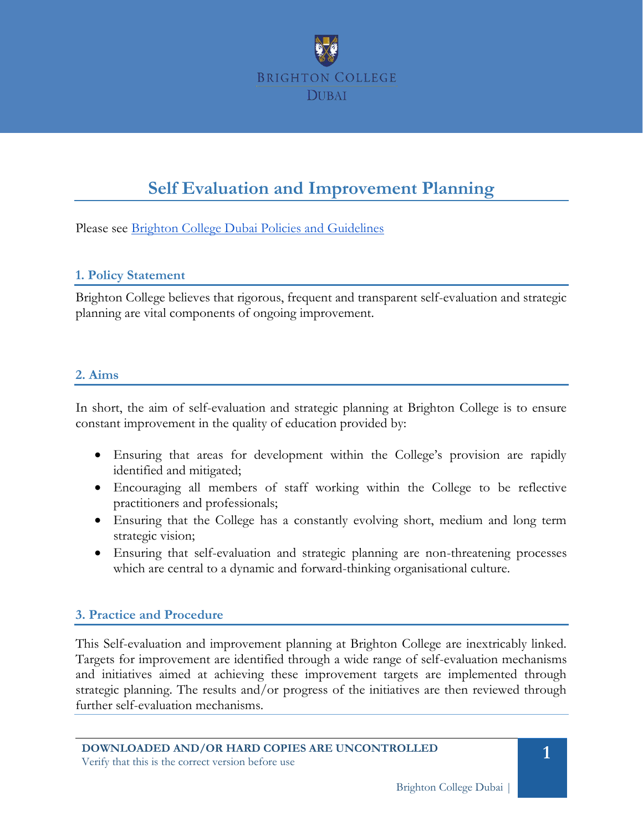

# **Self Evaluation and Improvement Planning**

Please see [Brighton College Dubai Policies and Guidelines](#page-4-0)

#### **1. Policy Statement**

Brighton College believes that rigorous, frequent and transparent self-evaluation and strategic planning are vital components of ongoing improvement.

#### **2. Aims**

In short, the aim of self-evaluation and strategic planning at Brighton College is to ensure constant improvement in the quality of education provided by:

- Ensuring that areas for development within the College's provision are rapidly identified and mitigated;
- Encouraging all members of staff working within the College to be reflective practitioners and professionals;
- Ensuring that the College has a constantly evolving short, medium and long term strategic vision;
- Ensuring that self-evaluation and strategic planning are non-threatening processes which are central to a dynamic and forward-thinking organisational culture.

#### **3. Practice and Procedure**

This Self-evaluation and improvement planning at Brighton College are inextricably linked. Targets for improvement are identified through a wide range of self-evaluation mechanisms and initiatives aimed at achieving these improvement targets are implemented through strategic planning. The results and/or progress of the initiatives are then reviewed through further self-evaluation mechanisms.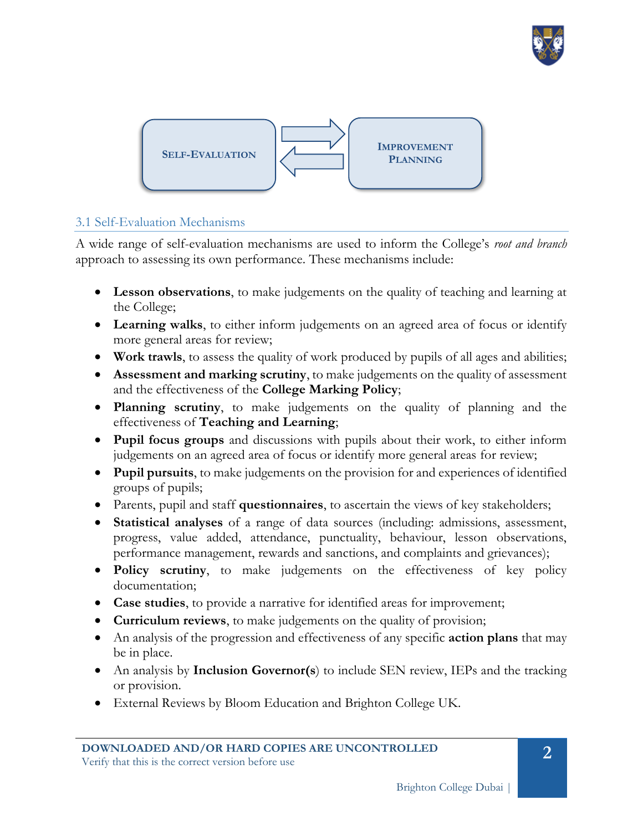



## 3.1 Self-Evaluation Mechanisms

A wide range of self-evaluation mechanisms are used to inform the College's *root and branch* approach to assessing its own performance. These mechanisms include:

- **Lesson observations**, to make judgements on the quality of teaching and learning at the College;
- **Learning walks**, to either inform judgements on an agreed area of focus or identify more general areas for review;
- **Work trawls**, to assess the quality of work produced by pupils of all ages and abilities;
- **Assessment and marking scrutiny**, to make judgements on the quality of assessment and the effectiveness of the **College Marking Policy**;
- **Planning scrutiny**, to make judgements on the quality of planning and the effectiveness of **Teaching and Learning**;
- **Pupil focus groups** and discussions with pupils about their work, to either inform judgements on an agreed area of focus or identify more general areas for review;
- **Pupil pursuits**, to make judgements on the provision for and experiences of identified groups of pupils;
- Parents, pupil and staff **questionnaires**, to ascertain the views of key stakeholders;
- **Statistical analyses** of a range of data sources (including: admissions, assessment, progress, value added, attendance, punctuality, behaviour, lesson observations, performance management, rewards and sanctions, and complaints and grievances);
- **Policy scrutiny**, to make judgements on the effectiveness of key policy documentation;
- **Case studies**, to provide a narrative for identified areas for improvement;
- **Curriculum reviews**, to make judgements on the quality of provision;
- An analysis of the progression and effectiveness of any specific **action plans** that may be in place.
- An analysis by **Inclusion Governor(s**) to include SEN review, IEPs and the tracking or provision.
- External Reviews by Bloom Education and Brighton College UK.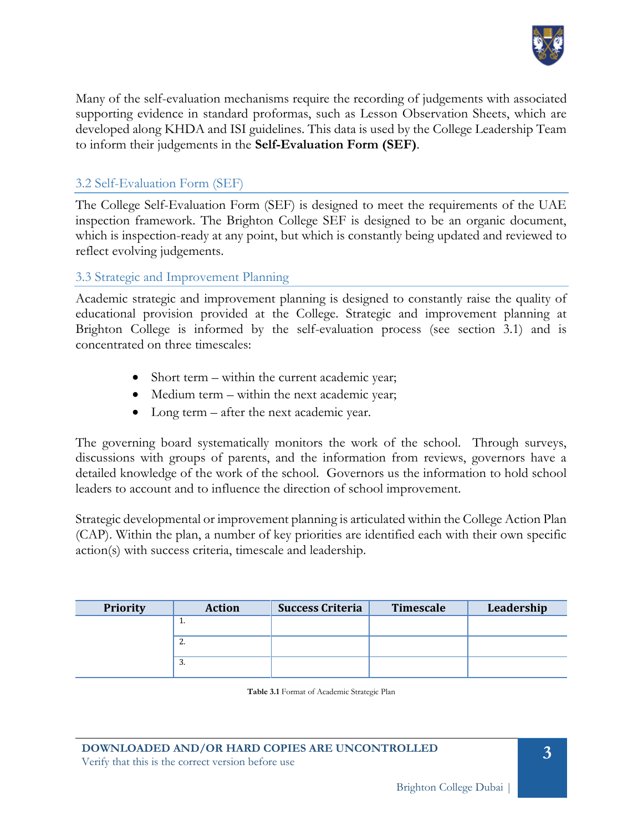

Many of the self-evaluation mechanisms require the recording of judgements with associated supporting evidence in standard proformas, such as Lesson Observation Sheets, which are developed along KHDA and ISI guidelines. This data is used by the College Leadership Team to inform their judgements in the **Self-Evaluation Form (SEF)**.

## 3.2 Self-Evaluation Form (SEF)

The College Self-Evaluation Form (SEF) is designed to meet the requirements of the UAE inspection framework. The Brighton College SEF is designed to be an organic document, which is inspection-ready at any point, but which is constantly being updated and reviewed to reflect evolving judgements.

## 3.3 Strategic and Improvement Planning

Academic strategic and improvement planning is designed to constantly raise the quality of educational provision provided at the College. Strategic and improvement planning at Brighton College is informed by the self-evaluation process (see section 3.1) and is concentrated on three timescales:

- Short term within the current academic year;
- Medium term within the next academic year;
- Long term after the next academic year.

The governing board systematically monitors the work of the school. Through surveys, discussions with groups of parents, and the information from reviews, governors have a detailed knowledge of the work of the school. Governors us the information to hold school leaders to account and to influence the direction of school improvement.

Strategic developmental or improvement planning is articulated within the College Action Plan (CAP). Within the plan, a number of key priorities are identified each with their own specific action(s) with success criteria, timescale and leadership.

| Priority | <b>Action</b> | <b>Success Criteria</b> | Timescale | Leadership |
|----------|---------------|-------------------------|-----------|------------|
|          | π.            |                         |           |            |
|          | Ζ.            |                         |           |            |
|          | 3.            |                         |           |            |

**Table 3.1** Format of Academic Strategic Plan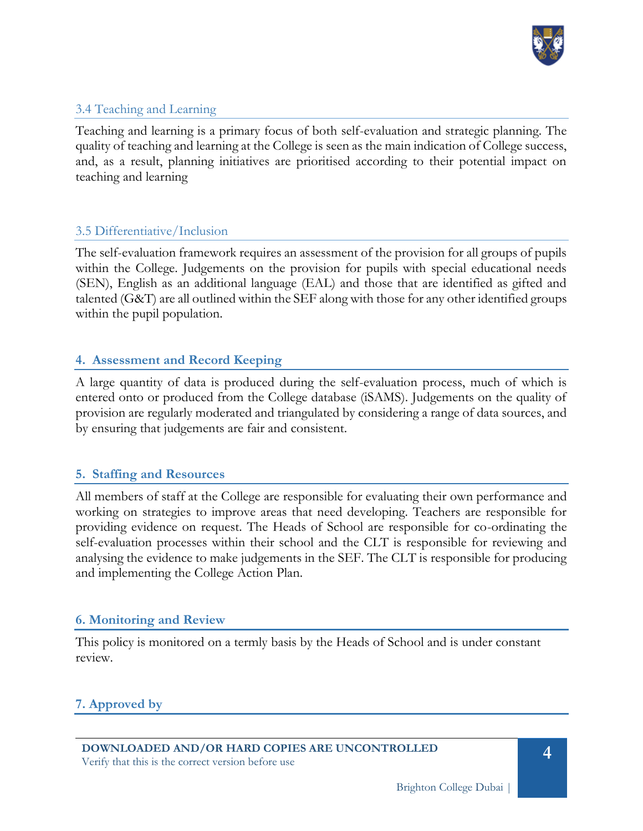

## 3.4 Teaching and Learning

Teaching and learning is a primary focus of both self-evaluation and strategic planning. The quality of teaching and learning at the College is seen as the main indication of College success, and, as a result, planning initiatives are prioritised according to their potential impact on teaching and learning

## 3.5 Differentiative/Inclusion

The self-evaluation framework requires an assessment of the provision for all groups of pupils within the College. Judgements on the provision for pupils with special educational needs (SEN), English as an additional language (EAL) and those that are identified as gifted and talented (G&T) are all outlined within the SEF along with those for any other identified groups within the pupil population.

## **4. Assessment and Record Keeping**

A large quantity of data is produced during the self-evaluation process, much of which is entered onto or produced from the College database (iSAMS). Judgements on the quality of provision are regularly moderated and triangulated by considering a range of data sources, and by ensuring that judgements are fair and consistent.

## **5. Staffing and Resources**

All members of staff at the College are responsible for evaluating their own performance and working on strategies to improve areas that need developing. Teachers are responsible for providing evidence on request. The Heads of School are responsible for co-ordinating the self-evaluation processes within their school and the CLT is responsible for reviewing and analysing the evidence to make judgements in the SEF. The CLT is responsible for producing and implementing the College Action Plan.

#### **6. Monitoring and Review**

This policy is monitored on a termly basis by the Heads of School and is under constant review.

# **7. Approved by**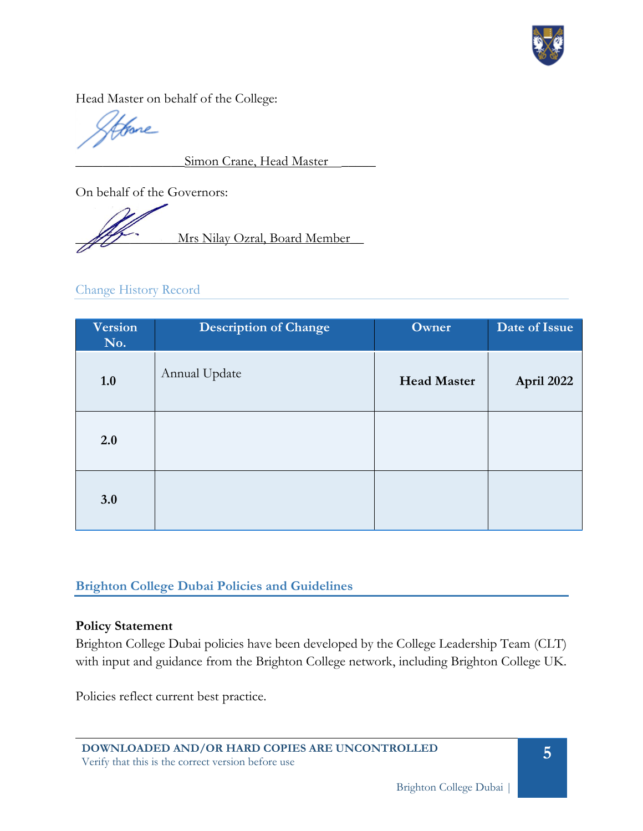

Head Master on behalf of the College:

fore

Simon Crane, Head Master

On behalf of the Governors:

Mrs Nilay Ozral, Board Member

Change History Record

| Version<br>No. | <b>Description of Change</b> | Owner              | Date of Issue |
|----------------|------------------------------|--------------------|---------------|
| 1.0            | Annual Update                | <b>Head Master</b> | April 2022    |
| 2.0            |                              |                    |               |
| 3.0            |                              |                    |               |

# <span id="page-4-0"></span>**Brighton College Dubai Policies and Guidelines**

#### **Policy Statement**

Brighton College Dubai policies have been developed by the College Leadership Team (CLT) with input and guidance from the Brighton College network, including Brighton College UK.

Policies reflect current best practice.